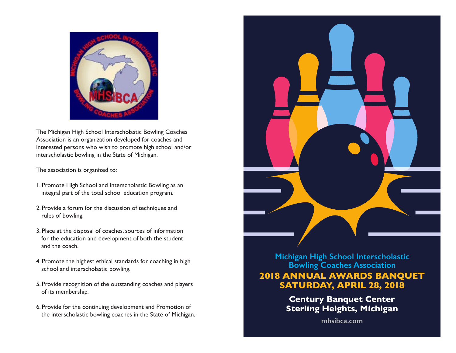

The Michigan High School Interscholastic Bowling Coaches Association is an organization developed for coaches and interested persons who wish to promote high school and/or interscholastic bowling in the State of Michigan.

The association is organized to:

- 1. Promote High School and Interscholastic Bowling as an integral part of the total school education program.
- 2. Provide a forum for the discussion of techniques and rules of bowling.
- 3. Place at the disposal of coaches, sources of information for the education and development of both the student and the coach.
- 4. Promote the highest ethical standards for coaching in high school and interscholastic bowling.
- 5. Provide recognition of the outstanding coaches and players of its membership.
- 6. Provide for the continuing development and Promotion of the interscholastic bowling coaches in the State of Michigan.



**Michigan High School Interscholastic Bowling Coaches Association 2018 ANNUAL AWARDS BANQUET SATURDAY, APRIL 28, 2018**

> **Century Banquet Center Sterling Heights, Michigan**

> > **mhsibca.com**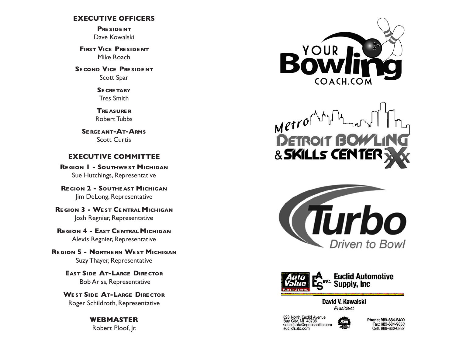### **EXECUTIVE OFFICERS**

**Pre side nt** Dave Kowalski

**FIRST VICE PRESIDENT** Mike Roach

**SE COND VICE PRESIDENT** Scott Spar

> **Se cre tary** Tres Smith

**Tre asure r** Robert Tubbs

**Se rge ant-At-Arms** Scott Curtis

### **EXECUTIVE COMMITTEE**

**Re gion 1 - Southwe st Michigan** Sue Hutchings, Representative

**Re gion 2 - Southe ast Michigan** Jim DeLong, Representative

**Re gion 3 - We st Ce ntral Michigan** Josh Regnier, Representative

**Re gion 4 - East Ce ntral Michigan** Alexis Regnier, Representative

**Re gion 5 - Northe rn We st Michigan** Suzy Thayer, Representative

> **East Side At-Large Dire ctor** Bob Ariss, Representative

**We st Side At-Large Dire ctor** Roger Schildroth, Representative

> **WEBMASTER** Robert Ploof, Jr.



 $M$ etrol & SKILLS CENTEI





David V. Kowalski President

823 North Euclid Avenue<br>Bay City, MI 48706<br>euclidauto@speednetllc.com euclidauto.com



Phone: 989-684-5400 Fax: 989-684-9830 Cell: 989-860-6887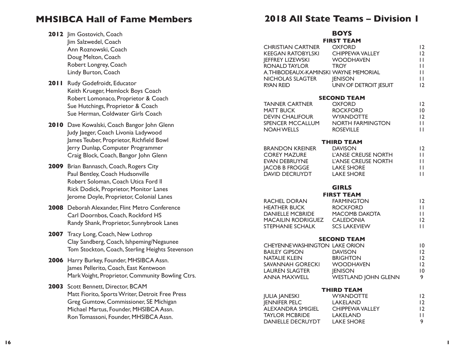# **MHSIBCA Hall of Fame Members**

- 2012 Jim Gostovich, Coach Jim Salzwedel, Coach Ann Roznowski, Coach Doug Melton, Coach Robert Longrey, Coach Lindy Burton, Coach
- **2011** Rudy Godefroidt, Educator Keith Krueger, Hemlock Boys Coach Robert Lomonaco, Proprietor & Coach Sue Hutchings, Proprietor & Coach Sue Herman, Coldwater Girls Coach
- **2010** Dave Kowalski, Coach Bangor John Glenn Judy Jaeger, Coach Livonia Ladywood James Teuber, Proprietor, Richfield Bowl Jerry Dunlap, Computer Programmer Craig Block, Coach, Bangor John Glenn
- **2009** Brian Bannasch, Coach, Rogers City Paul Bentley, Coach Hudsonville Robert Soloman, Coach Utica Ford ll Rick Dodick, Proprietor, Monitor Lanes Jerome Doyle, Proprietor, Colonial Lanes
- **2008** Deborah Alexander, Flint Metro Conference Carl Doornbos, Coach, Rockford HS Randy Shank, Proprietor, Sunnybrook Lanes
- 2007 Tracy Long, Coach, New Lothrop Clay Sandberg, Coach, Ishpeming/Negaunee Tom Stockton, Coach, Sterling Heights Stevenson
- **2006** Harry Burkey, Founder, MHSIBCA Assn. James Pellerito, Coach, East Kentwoon Mark Voight, Proprietor, Community Bowling Ctrs.
- **2003** Scott Bennett, Director, BCAM Matt Fiorito, Sports Writer, Detroit Free Press Greg Gumtow, Commissioner, SE Michigan Michael Martus, Founder, MHSIBCA Assn. Ron Tomassoni, Founder, MHSIBCA Assn.

# **2018 All State Teams – Division 1**

# **BOYS**

|                                                                         | .                                          |                              |
|-------------------------------------------------------------------------|--------------------------------------------|------------------------------|
| CHRISTIAN CARTNER OXFORD                                                | <b>FIRST TEAM</b>                          | 12<br>12<br>$\mathbf{H}$     |
|                                                                         |                                            | $\mathbf{H}$                 |
| A.THIBODEAUX-KAMINSKI WAYNE MEMORIAL<br>NICHOLAS SLAGTER <b>IENISON</b> |                                            | $\mathbf{H}$<br>$\mathbf{H}$ |
| <b>RYAN REID</b>                                                        | UNIV. OF DETROIT JESUIT                    | 12                           |
|                                                                         | <b>SECOND TEAM</b>                         |                              |
| <b>TANNER CARTNER</b>                                                   | <b>OXFORD</b><br>UALU<br>ROCKFORD          | 12                           |
| <b>MATT BUCK</b><br><b>DEVIN CHALIFOUR</b>                              | <b>WYANDOTTE</b>                           | $\overline{10}$<br>12        |
| SPENCER MCCALLUM                                                        | NORTH FARMINGTON                           | П                            |
| <b>NOAH WELLS</b>                                                       | <b>ROSEVILLE</b>                           | $\mathbf{H}$                 |
|                                                                         | <b>THIRD TEAM</b>                          |                              |
| <b>BRANDON KREINER</b><br><b>COREY MAZURE</b>                           | <b>DAVISON</b>                             | 12<br>П                      |
| EVAN DEBRUYNE                                                           | L'ANSE CREUSE NORTH<br>L'ANSE CREUSE NORTH | $\mathbf{H}$                 |
| JACOB B FROGGE LAKE SHORE<br>DAVID DECRUYDT                             | <b>LAKE SHORE</b>                          | $\mathbf{H}$<br>$\mathbf{H}$ |
|                                                                         |                                            |                              |
|                                                                         | <b>GIRLS</b>                               |                              |
| RACHEL DORAN                                                            | <b>FIRST TEAM</b><br><b>FARMINGTON</b>     | 12                           |
| <b>HEATHER BUCK</b>                                                     | <b>ROCKFORD</b>                            | $\mathbf{H}$                 |
| DANIELLE MCBRIDE MACOMB DAKOTA                                          |                                            | $\mathbf{H}$                 |
| MACAILIN RODRIGUEZ CALEDONIA<br>STEPHANIE SCHALK SCS LAKEVIE            | <b>SCS LAKEVIEW</b>                        | 12<br>П                      |
|                                                                         |                                            |                              |
| CHEYENNEWASHINGTON LAKE ORION                                           | <b>SECOND TEAM</b>                         | $\overline{10}$              |
| BAILEY GIPSON DAVISON<br>NATALIE KLEIN BRIGHTO                          |                                            | 12                           |
| <b>NATALIE KLEIN</b>                                                    | <b>BRIGHTON</b>                            | 12                           |
| SAVANNAH GORECKI WOODHAVEN                                              | <b>JENISON</b>                             | 12<br>$\overline{10}$        |
| LAUREN SLAGTER<br>ANNA MAXWELL                                          | <b>WESTLAND JOHN GLENN</b>                 | 9                            |
|                                                                         | <b>THIRD TEAM</b>                          |                              |
| <b>JULIA JANESKI</b>                                                    | <b>WYANDOTTE</b>                           | 12                           |
| <b>JENNIFER PELC</b><br>ALEXANDRA SMIGIEL                               | LAKELAND<br>CHIPPEWA VALLEY                | 12<br>12                     |
| <b>TAYLOR MCBRIDE</b>                                                   | LAKELAND                                   | $\mathbf{H}$                 |
| <b>DANIELLE DECRUYDT</b>                                                | <b>LAKE SHORE</b>                          | 9                            |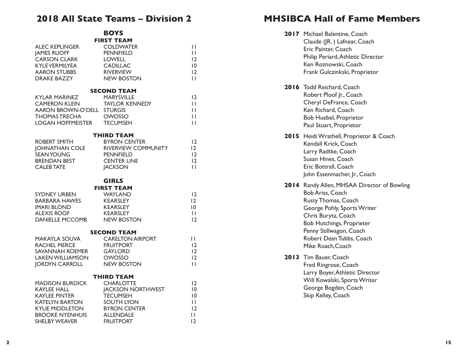# **2018 All State Teams – Division 2**

|                            | <b>BOYS</b>              |                 |
|----------------------------|--------------------------|-----------------|
|                            | <b>FIRST TEAM</b>        |                 |
| <b>ALEC KEPLINGER</b>      | <b>COLDWATER</b>         | П               |
| <b>JAMES RUOFF</b>         | <b>PENNFIELD</b>         | $\mathbf{H}$    |
| <b>CARSON CLARK</b>        | <b>LOWELL</b>            | 12              |
| <b>KYLEVERMILYEA</b>       | <b>CADILLAC</b>          | $\overline{10}$ |
| <b>AARON STUBBS</b>        | <b>RIVERVIEW</b>         | 12              |
| <b>DRAKE BAZZY</b>         | <b>NEW BOSTON</b>        | $\mathbf{H}$    |
|                            | <b>SECOND TEAM</b>       |                 |
| <b>KYLAR MARINEZ</b>       | <b>MARYSVILLE</b>        | 12              |
| <b>CAMERON KLEIN</b>       | TAYLOR KENNEDY           | П               |
| AARON BROWN-O'DELL STURGIS |                          | $\mathbf{H}$    |
| <b>THOMAS TRECHA</b>       | OWOSSO                   | $\mathbf{H}$    |
| LOGAN HOFFMEISTER TECUMSEH |                          | $\mathbf{H}$    |
|                            | <b>THIRD TEAM</b>        |                 |
| ROBERT SMITH               | <b>BYRON CENTER</b>      | 12              |
| <b>JOHNATHAN COLE</b>      | RIVERVIEW COMMUNITY      | 12              |
| <b>SEAN YOUNG</b>          | <b>PENNFIELD</b>         | 12              |
| BRENDAN BEST               | <b>CENTER LINE</b>       | 12              |
| <b>CALEB TATE</b>          | <b>JACKSON</b>           | П               |
|                            | <b>GIRLS</b>             |                 |
|                            | <b>FIRST TEAM</b>        |                 |
| <b>SYDNEY URBEN</b>        | <b>WAYLAND</b>           | 12              |
| <b>BARBARA HAWES</b>       | <b>KEARSLEY</b>          | 2               |
| <b>IMARI BLOND</b>         | <b>KEARSLEY</b>          | 10              |
| <b>ALEXIS ROOF</b>         | <b>KEARSLEY</b>          | $\mathbf{H}$    |
| <b>DANIELLE MCCOMB</b>     | NEW BOSTON               | 12              |
|                            | <b>SECOND TEAM</b>       |                 |
| <b>MAKAYLA SOUVA</b>       | <b>CARELTON AIRPORT</b>  | П               |
| <b>RACHEL PIERCE</b>       | <b>FRUITPORT</b>         | 12              |
| SAVANNAH ROEMER            | <b>GAYLORD</b>           | 2               |
| <b>LAKEN WILLIAMSON</b>    | <b>OWOSSO</b>            | 12              |
| <b>JORDYN CARROLL</b>      | <b>NEW BOSTON</b>        | П               |
|                            | <b>THIRD TEAM</b>        |                 |
| <b>MADISON BURDICK</b>     | <b>CHARLOTTE</b>         | 12              |
| <b>KAYLEE HALL</b>         | <b>JACKSON NORTHWEST</b> | 0               |
| <b>KAYLEE PINTER</b>       | <b>TECUMSEH</b>          | $\overline{10}$ |
| <b>KATELYN BARTON</b>      | <b>SOUTH LYON</b>        | $\mathbf{H}$    |
| <b>KYLIE MIDDLETON</b>     | <b>BYRON CENTER</b>      | 12              |
| <b>BROOKE NYENHUIS</b>     | <b>ALLENDALE</b>         | П               |
| <b>SHELBY WEAVER</b>       | <b>FRUITPORT</b>         | 2               |

# **MHSIBCA Hall of Fame Members**

|      | 2017 Michael Balentine, Coach<br>Claude (JR.) Lafnear, Coach<br>Eric Painter, Coach<br>Philip Periard, Athletic Director<br>Ken Roznowski, Coach<br>Frank Gulczinkski, Proprietor                                                                                          |
|------|----------------------------------------------------------------------------------------------------------------------------------------------------------------------------------------------------------------------------------------------------------------------------|
|      | 2016 Todd Reichard, Coach<br>Robert Ploof Jr., Coach<br>Cheryl DeFrance, Coach<br>Ken Richard, Coach<br><b>Bob Huebel, Proprietor</b><br>Paul Stuart, Proprietor                                                                                                           |
|      | 2015 Heidi Wrathell, Proprietor & Coach<br>Kendall Krick, Coach<br>Larry Radtke, Coach<br>Susan Hines, Coach<br>Eric Bottrall, Coach<br>John Essenmacher, Jr., Coach                                                                                                       |
|      | 2014 Randy Allen, MHSAA Director of Bowling<br><b>Bob Ariss, Coach</b><br><b>Rusty Thomas, Coach</b><br>George Pohly, Sports Writer<br>Chris Buryta, Coach<br><b>Bob Hutchings, Proprieter</b><br>Penny Stillwagon, Coach<br>Robert Dean Tubbs, Coach<br>Mike Roach, Coach |
| 2013 | Tim Bauer, Coach<br>Fred Ringrose, Coach<br>Larry Boyer, Athletic Director<br>Will Kowalski, Sports Writer<br>George Bogden, Coach<br>Skip Kelley, Coach                                                                                                                   |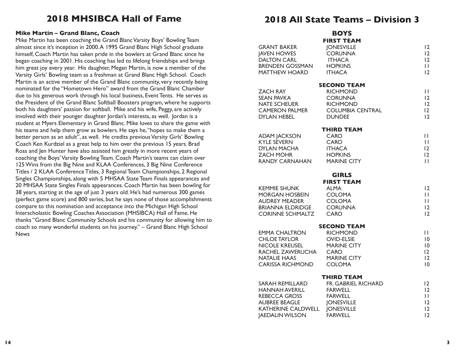# **2018 MHSIBCA Hall of Fame**

#### **Mike Martin – Grand Blanc, Coach**

Mike Martin has been coaching the Grand Blanc Varsity Boys' Bowling Team almost since it's inception in 2000. A 1995 Grand Blanc High School graduate himself, Coach Martin has taken pride in the bowlers at Grand Blanc since he began coaching in 2001. His coaching has led to lifelong friendships and brings him great joy every year. His daughter, Megan Martin, is now a member of the Varsity Girls' Bowling team as a freshman at Grand Blanc High School. Coach Martin is an active member of the Grand Blanc community, very recently being nominated for the "Hometown Hero" award from the Grand Blanc Chamber due to his generous work through his local business, Event Tents. He serves as the President of the Grand Blanc Softball Boosters program, where he supports both his daughters' passion for softball. Mike and his wife, Peggy, are actively involved with their younger daughter Jordan's interests, as well. Jordan is a student at Myers Elementary in Grand Blanc. Mike loves to share the game with his teams and help them grow as bowlers. He says he, "hopes to make them a better person as an adult", as well. He credits previous Varsity Girls' Bowling Coach Ken Kurdziel as a great help to him over the previous 15 years. Brad Ross and Jen Hunter have also assisted him greatly in more recent years of coaching the Boys' Varsity Bowling Team. Coach Martin's teams can claim over 125 Wins from the Big Nine and KLAA Conferences, 3 Big Nine Conference Titles / 2 KLAA Conference Titles, 3 Regional Team Championships, 2 Regional Singles Championships, along with 5 MHSAA State Team Finals appearances and 20 MHSAA State Singles Finals appearances. Coach Martin has been bowling for 38 years, starting at the age of just 3 years old. He's had numerous 300 games (perfect game score) and 800 series, but he says none of those accomplishments compare to this nomination and acceptance into the Michigan High School Interscholastic Bowling Coaches Association (MHSIBCA) Hall of Fame. He thanks "Grand Blanc Community Schools and his community for allowing him to coach so many wonderful students on his journey." – Grand Blanc High School News

# **2018 All State Teams – Division 3**

|                                                                                                                                       | <b>BOYS</b>                                                                                                                     |                                                                                  |
|---------------------------------------------------------------------------------------------------------------------------------------|---------------------------------------------------------------------------------------------------------------------------------|----------------------------------------------------------------------------------|
| <b>GRANT BAKER</b><br><b>JAVEN HOWES</b><br><b>DALTON CARL</b><br><b>BRENDEN GOSSMAN</b><br><b>MATTHEW HOARD</b>                      | <b>FIRST TEAM</b><br><b>JONESVILLE</b><br><b>CORUNNA</b><br><b>ITHACA</b><br><b>HOPKINS</b><br><b>ITHACA</b>                    | 12<br>12<br>12<br>П<br>12                                                        |
| <b>ZACH RAY</b><br><b>SEAN PAVKA</b><br><b>NATE SCHEUER</b><br>CAMERON PALMER<br><b>DYLAN HEBEL</b>                                   | <b>SECOND TEAM</b><br><b>RICHMOND</b><br><b>CORUNNA</b><br><b>RICHMOND</b><br><b>COLUMBIA CENTRAL</b><br><b>DUNDEE</b>          | П<br>12<br> 2<br>12<br>12                                                        |
| <b>ADAM JACKSON</b><br><b>KYLE SEVERN</b><br><b>DYLAN MACHA</b><br><b>ZACH MOHR</b><br>RANDY CARNAHAN                                 | <b>THIRD TEAM</b><br><b>CARO</b><br><b>CARO</b><br><b>ITHACA</b><br><b>HOPKINS</b><br><b>MARINE CITY</b>                        | П<br>$\mathbf{H}$<br>12<br>12<br>П                                               |
| <b>KEMMIE SHUNK</b><br>MORGAN HOSBEIN<br><b>AUDREY MEADER</b><br><b>BRIANNA ELDRIDGE</b><br>CORINNE SCHMALTZ                          | <b>GIRLS</b><br><b>FIRST TEAM</b><br><b>ALMA</b><br><b>COLOMA</b><br><b>COLOMA</b><br><b>CORUNNA</b><br><b>CARO</b>             | 2<br>$\mathbf{H}$<br>$\mathbf{H}$<br> 2<br>12                                    |
| <b>EMMA CHALTRON</b><br><b>CHLOE TAYLOR</b><br>NICOLE KREUSEL<br>RACHEL ZAWERUCHA<br><b>NATALIE HAAS</b><br>CARISSA RICHMOND          | <b>SECOND TEAM</b><br><b>RICHMOND</b><br><b>OVID-ELSIE</b><br><b>MARINE CITY</b><br>CARO<br><b>MARINE CITY</b><br><b>COLOMA</b> | $\mathbf{H}$<br>$\overline{10}$<br>$\overline{10}$<br>12<br> 2<br>$\overline{0}$ |
| SARAH REMILLARD<br>HANNAH AVERILL<br>REBECCA GROSS<br><b>AUBREE BEAGLE</b><br>KATHERINE CALDWELL JONESVILLE<br><b>JAEDALIN WILSON</b> | <b>THIRD TEAM</b><br>FR. GABRIEL RICHARD<br><b>FARWELL</b><br>FARWELL<br><b>JONESVILLE</b><br><b>FARWELL</b>                    | 12<br>12<br>$\mathbf{1}$<br>12<br>12<br>12                                       |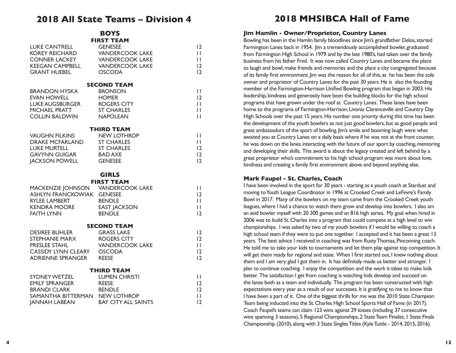# **2018 All State Teams – Division 4**

**BOYS**

|                       | воту                   |                |
|-----------------------|------------------------|----------------|
|                       | <b>FIRST TEAM</b>      |                |
| LUKE CANTRELL         | <b>GENESEE</b>         | $\overline{2}$ |
| KOREY REICHARD        | <b>VANDERCOOK LAKE</b> | П              |
| CONNER LACKEY         | <b>VANDERCOOK LAKE</b> | П              |
| KEEGAN CAMPBELL       | <b>VANDERCOOK LAKE</b> | 12             |
| GRANT HUEBEL          | <b>OSCODA</b>          | $\overline{2}$ |
|                       | <b>SECOND TEAM</b>     |                |
|                       |                        |                |
| BRANDON HYSKA         | <b>BRONSON</b>         | Н              |
| EVAN HOWELL           | <b>HOMER</b>           | $\overline{2}$ |
| LUKE AUGSBURGER       | ROGERS CITY            | П              |
| <b>MICHAEL PRATT</b>  | <b>ST CHARLES</b>      | П              |
| COLLIN BALDWIN        | <b>NAPOLEAN</b>        | П              |
|                       | <b>THIRD TEAM</b>      |                |
|                       |                        |                |
| VAUGHN FILKINS        | <b>NEW LOTHROP</b>     | П              |
| DRAKE MCFARLAND       | <b>ST CHARLES</b>      | П              |
| LUKE MURTELL          | <b>ST CHARLES</b>      | 12             |
| GAVYNN GUIGAR         | <b>BAD AXE</b>         | 12             |
| <b>IACKSON POWELL</b> | <b>GENESEE</b>         | 12             |
|                       |                        |                |

#### **GIRLS**

#### **FIRST TEAM**

| MACKENZIE JOHNSON VANDERCOOK LAKE |                     |                 |
|-----------------------------------|---------------------|-----------------|
| ASHLYN FRANCKOWIAK GENESEE        |                     | 12              |
| RYLEE LAMBERT                     | <b>BENDLE</b>       | ш               |
| KENDRA MOORE                      | <b>EAST JACKSON</b> |                 |
| FAITH LYNN                        | <b>BENDLE</b>       | $\overline{12}$ |
|                                   | <b>SECOND TEAM</b>  |                 |
| <b>DESIREE BUHLER</b>             | <b>GRASS LAKE</b>   | 12.             |
| STEPHANIE MARX                    | <b>ROGERS CITY</b>  | $\overline{2}$  |

| <b>PRESLEE STAHL</b>       | <b>VANDERCOOK LAKE</b> | H  |
|----------------------------|------------------------|----|
| <b>CASSIDY LYNN CLEARY</b> | <b>OSCODA</b>          | 12 |
| ADRIENNE SPRANGER          | <b>RFFSF</b>           | 12 |
|                            | <b>THIRD TEAM</b>      |    |
| SYDNEY WETZEL              | LUMEN CHRISTI          |    |

| LUI ILI YU IINJII              |              |
|--------------------------------|--------------|
| <b>REESE</b>                   | 12           |
| <b>BENDLE</b>                  | 12           |
| SAMANTHA BITTERMAN NEW LOTHROP | $\mathbf{L}$ |
| <b>BAY CITY ALL SAINTS</b>     | 12           |
|                                |              |

# **2018 MHSIBCA Hall of Fame**

#### **Jim Hamlin - Owner/Proprietor, Country Lanes**

Bowling has been in the Hamlin family bloodlines since Jim's grandfather Delos, started Farmington Lanes back in 1954. Jim a tremendously accomplished bowler, graduated from Farmington High School in 1979 and by the late 1980's, had taken over the family business from his father Fred. It was now called Country Lanes and became the place to laugh and bowl, make friends and memories and the place a city congregated because of its family first environment. Jim was the reason for all of this, as he has been the sole owner and proprietor of Country Lanes for the past 30 years. He is also the founding member of the Farmington-Harrison Unified Bowling program that began in 2003. His leadership, kindness and generosity have been the building blocks for the high school programs that have grown under the roof at Country Lanes. These lanes have been home to the programs of Farmington-Harrison, Livonia Clarenceville and Country Day High Schools over the past 15 years. His number one priority during this time has been the development of the youth bowlers as not just good bowlers, but as good people and great ambassadors of the sport of bowling. Jim's smile and booming laugh were what awaited you at Country Lanes on a daily basis where if he was not at the front counter, he was down on the lanes interacting with the future of our sport by coaching, mentoring and developing their skills. This award is about the legacy created and left behind by a great proprietor who's commitment to his high school program was more about love, kindness and creating a family first environment above and beyond anything else.

#### **Mark Faupel - St. Charles, Coach**

I have been involved in the sport for 30 years - starting as a youth coach at Stardust and moving to Youth League Coordinator in 1996 at Crooked Creek and LeFevre's Family Bowl in 2017. Many of the bowlers on my team came from the Crooked Creek youth leagues, where I had a chance to watch them grow and develop into bowlers. I also am an avid bowler myself with 20 300 games and an 816 high series. My goal when hired in 2006 was to build St. Charles into a program that could compete at a high level to win championships. I was asked by two of my youth bowlers if I would be willing to coach a high school team if they were to put one together. I accepted and it has been a great 13 years. The best advice I received in coaching was from Rusty Thomas, Pinconning coach. He told me to take your kids to tournaments and let them play against top competition. It will get them ready for regional and state. When I first started out, I knew nothing about them and I am very glad I got them in. It has definitely made us better and stronger. I plan to continue coaching. I enjoy the competition and the work it takes to make kids better. The satisfaction I get from coaching is watching kids develop and succeed on the lanes both as a team and individually. The program has been constructed with high expectations every year as a result of our successes. It is gratifying to me to know that I have been a part of it. One of the biggest thrills for me was the 2010 State Champion Team being inducted into the St. Charles High School Sports Hall of Fame (in 2017). Coach Faupel's teams can claim 123 wins against 29 losses (including 37 consecutive wins spanning 3 seasons), 5 Regional Championships, 2 State Team Finalist, 1 State Finals Championship (2010), along with 3 State Singles Titles (Kyle Tuttle - 2014, 2015, 2016).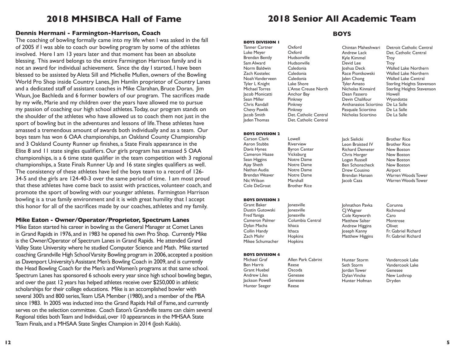# **2018 MHSIBCA Hall of Fame**

#### **Dennis Hermani - Farmington-Harrison, Coach BOYS**

The coaching of bowling formally came into my life when I was asked in the fall of 2005 if I was able to coach our bowling program by some of the athletes involved. Here I am 13 years later and that moment has been an absolute blessing. This award belongs to the entire Farmington Harrison family and is not an award for individual achievement. Since the day I started, I have been blessed to be assisted by Aleta Sill and Michelle Mullen, owners of the Bowling World Pro Shop inside Country Lanes, Jim Hamlin proprietor of Country Lanes and a dedicated staff of assistant coaches in Mike Clarahan, Bruce Doran, Jim Waun, Joe Bachleda and 6 former bowlers of our program. The sacrifices made by my wife, Marie and my children over the years have allowed me to pursue my passion of coaching our high school athletes. Today, our program stands on the shoulder of the athletes who have allowed us to coach them not just in the sport of bowling but in the adventures and lessons of life. These athletes have amassed a tremendous amount of awards both individually and as a team. Our boys team has won 6 OAA championships, an Oakland County Championship and 3 Oakland County Runner up finishes, a State Finals appearance in the Elite 8 and 11 state singles qualifiers. Our girls program has amassed 5 OAA championships, is a 6 time state qualifier in the team competition with 3 regional championships, a State Finals Runner Up and 16 state singles qualifiers as well. The consistency of these athletes have led the boys team to a record of 126- 34-5 and the girls are 124-40-3 over the same period of time. I am most proud that these athletes have come back to assist with practices, volunteer coach, and promote the sport of bowling with our younger athletes. Farmington Harrison bowling is a true family environment and it is with great humility that I accept this honor for all of the sacrifices made by our coaches, athletes and my family.

#### **Mike Eaton - Owner/Operator/Proprietor, Spectrum Lanes**

Mike Eaton started his career in bowling as the General Manager at Comet Lanes in Grand Rapids in 1976, and in 1983 he opened his own Pro Shop. Currently Mike is the Owner/Operator of Spectrum Lanes in Grand Rapids. He attended Grand Valley State University where he studied Computer Science and Math. Mike started coaching Grandville High School Varsity Bowling program in 2006, accepted a position as Davenport University's Assistant Men's Bowling Coach in 2009, and is currently the Head Bowling Coach for the Men's and Women's programs at that same school. Spectrum Lanes has sponsored 6 schools every year since high school bowling began, and over the past 12 years has helped athletes receive over \$250,000 in athletic scholarships for their college educations. Mike is an accomplished bowler with several 300's and 800 series, Team USA Member (1980), and a member of the PBA since 1983. In 2005 was inducted into the Grand Rapids Hall of Fame, and currently serves on the selection committee. Coach Eaton's Grandville teams can claim several Regional titles both Team and Individual, over 10 appearances in the MHSAA State Team Finals, and a MHSAA State Singles Champion in 2014 (Josh Kukla).

# **2018 Senior All Academic Team**

**BOYS DIVISION 1**  Tanner Cartner Oxford Luke Meyer Oxford Brendan Bently<br>Sam Alward Norm Baldwin Caledonia Zach Kostelec Caledonia<br>Noah Vanderveen Caledonia Noah Vanderveen Tyler L Knight Lake Shore<br>Michael Torres L'Anse Crei Jacob Monicatti Anchor Bay Sean Miller Pinkney **Chris Randall** Pinkney<br> **Chevy Pawlik** Pinkney Chevy Pawlik Jacob Smith Det. Catholic Central Jaden Thomas Det. Catholic Central

**BOYS DIVISION 2**  Carson Clark Lowell Aaron Stubbs Riverview Davis Hynes Byron Center<br>Cameron Haase Vicksburg

Cameron Haase

Nathan Audia

Nic Wilson

Zach Mohr

**BOYS DIVISION 4** 

Ben Harris Reese Grant Huebel Oscoda Andrew Liles Genesee Jackson Powell Genesee Hunter Seeger Reese

Sean Higgins Notre Dame<br>Aiav Sheth Notre Dame Ajay Sheth Notre Dame

Brendan Weaver Notre Dame<br>Nic Wilson Marshall

Cole DeGroat Brother Rice

Hudsonville<br>Caledonia L'Anse Creuse North

Kyle Kimmel Troy Devid Lee Troy Dean Fassero Howell Devin Chalifour Wyandotte Anthanasios Sciortino De La Salle Pasquale Sciortino De La Salle Nicholas Sciortino De La Salle

Chintan Maheshwari Detroit Catholic Central Andrew Lack Det. Catholic Central Joshua Deck Walled Lake Northern Race Piontkowski Walled Lake Northern Jalen Chong Walled Lake Central Tyler Amato Sterling Heights Stevenson Nicholas Kinnaird Sterling Heights Stevenson

Jack Sielicki Brother Rice<br>Leon Braisted IV Brother Rice .<br>Leon Braisted IV Chris Horger **Ben Schonscheck** New Boston<br>Drew Cousino Airport Drew Cousino

Richard Demeter New Boston<br>Chris Horger New Boston Logan Russell New Boston Brendan Hansen Warren Woods Tower Warren Woods Tower

**BOYS DIVISION 3**  Grant Baker Jonesville Dustin Gutowski lonesville Fred Yaniga Jonesville Dylan Macha Ithaca<br>Collin Handy Ithaca Collin Handy Ithaca

Michael Graf Allen Park Cabrini

Columbia Central Mikee Schumacher Hopkins

Johnathon Pavka Corunna Matthew Salter Matthew Higgins

CJ Wagner Richmond<br>Cole Keyworth Caro **Cole Keyworth** Caro<br>Matthew Salter Montrose Andrew Higgins Olivet Joseph Kanny Fr. Gabriel Richard<br>Matthew Higgins Fr. Gabriel Richard

Jordan Tower<br>Dylan Vincke

Hunter Storm Vandercook Lake Vandercook Lake<br>Genesee New Lothrop Hunter Hofman Dryden

**12 5**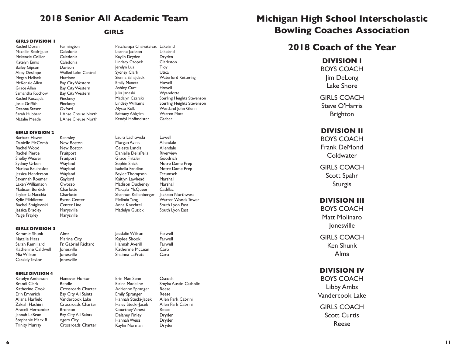# **2018 Senior All Academic Team**

**GIRLS**

#### **GIRLS DIVISION 1**

Rachel Doran Farmington<br>Macailin Rodriguez Caledonia Macailin Rodriguez Caledonia<br>Mckenzie Collier Caledonia Mckenzie Collier Caledonia Katelyn Ennis Caledonia Bailey Gipson<br>Abby Deslippe Megan Helisek Harrison<br>McKenzie Allen Bay City McKenzie Allen Bay City Western<br>Grace Allen Bay City Western Grace Allen Bay City Western<br>Samantha Rochow Bay City Western Rachel Kuczajda Pinckney Josie Griffith Pinckney Deanna Staser Sarah Hubbard L'Anse Creuse North<br>
Natalie Meade L'Anse Creuse North

**GIRLS DIVISION 2** 

Barbara Hawes Kearsley Danielle McComb New Boston Rachel Wood New Boston Rachel Pierce Fruitport Shelby Weaver Fruitport Sydney Urben Wayland Marissa Bruinsslot Wayland Jessica Henderson Wayland Savannah Roemer Gaylord Laken Williamson Owosso Madison Burdick Charlotte Taylor LaMacchia Charlotte Kylie Middleton Byron Center Rachel Smiglewski Center Line Jessica Bradley Marysville Paige Frayley Marysville

**Walled Lake Central** Bay City Western L'Anse Creuse North

Patcharapa Chaivatvivat Lakeland Leanne Jackson Lakeland Kaylin Dryden Dryden Lindsey Czopek Clarkston Jerelyn Lua Troy Sydney Clark Utica Sienna Sahajdack Waterford Kettering Emily Manetz Howell Ashley Carr Howell Julia Janeski Wyandotte Madalyn Czarski Sterling Heights Stevenson Lindsey Williams Sterling Heights Stevenson Alyssa Kolb Westland John Glenn Brittany Ahlgrim Warren Mott Kendyl Hoffmeister Garber

Laura Lachowski Lowell Morgan Avink Allendale Celeste Landis Allendale Danielle DellaPella Riverview Grace Fritzler Goodrich Sophie Shick Notre Dame Prep Isabella Fandino Notre Dame Prep Baylee Thompson Tecumseh Kaitlyn Lawhead Marshall Madison Ducheney Marshall Makayla McQueer Cadillac Shannon Kellenberger Jackson Northwest Melinda Yang Warren Woods Tower Anna Knechtel South Lyon East Madelyn Guzick South Lyon East

Jaedalin Wilson Farwell Kaylee Shook Farwell

Katherine McLean Caro Shainna LaPratt Caro

Hannah Averill

**GIRLS DIVISION 3** Kemmie Shunk Alma Natalie Haas Marine City<br>Sarah Remillard Fr Gabriel B Fr. Gabriel Richard<br>Ionesville Katherine Caldwell Mia Wilson Jonesville Cassidy Taylor Jonesville

Vandercook Lake

#### **GIRLS DIVISION 4**

Katelyn Anderson Hanover Horton Brandi Clark Bendle Katherine Cook Crossroads Charter Erin Emmrich Bay City All Saints<br>Allana Harfield Vandercook Lake Zakiah Hashimi Crossroads Charter Araceli Hernandez Bronson Jannah LaBean Bay City All Saints Stephanie Marx R ogers City Trinity Murray Crossroads Charter

Erin Mae Senn Oscoda Adrienne Spranger Reese Hannah Stecki-Jacek Courtney Vanest

Smyka Austin Catholic Emily Spranger<br>
Hannah Stecki-lacek Allen Park Cabrini Haley Stecki-Jacek Allen Park Cabrini Delaney Finley Dryden Hannah Weiss Dryden Kaylin Norman Dryden

# **Michigan High School Interscholastic Bowling Coaches Association**

# **2018 Coach of the Year**

#### **DIVISION I**

BOYS COACH Jim DeLong Lake Shore

GIRLS COACH Steve O'Harris Brighton

### **DIVISION II**

BOYS COACH Frank DeMond Coldwater

GIRLS COACH Scott Spahr Sturgis

### **DIVISION III**

BOYS COACH Matt Molinaro Jonesville

GIRLS COACH Ken Shunk Alma

### **DIVISION IV**

BOYS COACH Libby Ambs Vandercook Lake

GIRLS COACH Scott Curtis Reese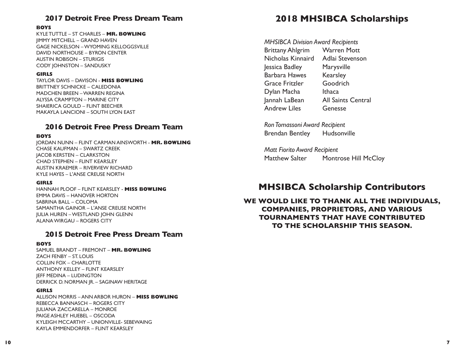### **2017 Detroit Free Press Dream Team**

#### **BOYS**

KYLE TUTTLE – ST CHARLES – **MR. BOWLING** JIMMY MITCHELL – GRAND HAVEN GAGE NICKELSON – WYOMING KELLOGGSVILLE DAVID NORTHOUSE – BYRON CENTER AUSTIN ROBISON – STURIGIS CODY JOHNSTON – SANDUSKY

#### **GIRLS**

TAYLOR DAVIS – DAVISON - **MISS BOWLING** BRITTNEY SCHNICKE – CALEDONIA MADCHEN BREEN – WARREN REGINA ALYSSA CRAMPTON – MARINE CITY SHAIERICA GOULD – FLINT BEECHER MAKAYLA LANCIONI – SOUTH LYON EAST

### **2016 Detroit Free Press Dream Team**

#### **BOYS**

JORDAN NUNN – FLINT CARMAN AINSWORTH - **MR. BOWLING** CHASE KAUFMAN – SWARTZ CREEK JACOB KERSTEN – CLARKSTON CHAD STEPHEN – FLINT KEARSLEY AUSTIN KRAEMER – RIVERVIEW RICHARD KYLE HAYES – L'ANSE CREUSE NORTH

#### **GIRLS**

HANNAH PLOOF – FLINT KEARSLEY - **MISS BOWLING** EMMA DAVIS – HANOVER HORTON SABRINA BALL – COLOMA SAMANTHA GAINOR – L'ANSE CREUSE NORTH JULIA HUREN – WESTLAND JOHN GLENN ALANA WIRGAU – ROGERS CITY

### **2015 Detroit Free Press Dream Team**

#### **BOYS**

SAMUEL BRANDT – FREMONT – **MR. BOWLING**  ZACH FENBY – ST. LOUIS COLLIN FOX – CHARLOTTE ANTHONY KELLEY – FLINT KEARSLEY JEFF MEDINA – LUDINGTON DERRICK D. NORMAN JR. – SAGINAW HERITAGE

#### **GIRLS**

ALLISON MORRIS – ANN ARBOR HURON – **MISS BOWLING**  REBECCA BANNASCH – ROGERS CITY JULIANA ZACCARELLA – MONROE PAIGE ASHLEY HUEBEL – OSCODA KYLEIGH MCCARTHY – UNIONVILLE- SEBEWAING KAYLA EMMENDORFER – FLINT KEARSLEY

# **2018 MHSIBCA Scholarships**

*MHSIBCA Division Award Recipients*  Brittany Ahlgrim Warren Mott Nicholas Kinnaird Adlai Stevenson Jessica Badley Marysville Barbara Hawes Kearsley Grace Fritzler Goodrich Dylan Macha Ithaca Jannah LaBean All Saints Central Andrew Liles Genesse

*Ron Tomassoni Award Recipient* Brendan Bentley Hudsonville

*Matt Fiorito Award Recipient* Matthew Salter Montrose Hill McCloy

# **MHSIBCA Scholarship Contributors**

**WE WOULD LIKE TO THANK ALL THE INDIVIDUALS, COMPANIES, PROPRIETORS, AND VARIOUS TOURNAMENTS THAT HAVE CONTRIBUTED TO THE SCHOLARSHIP THIS SEASON.**